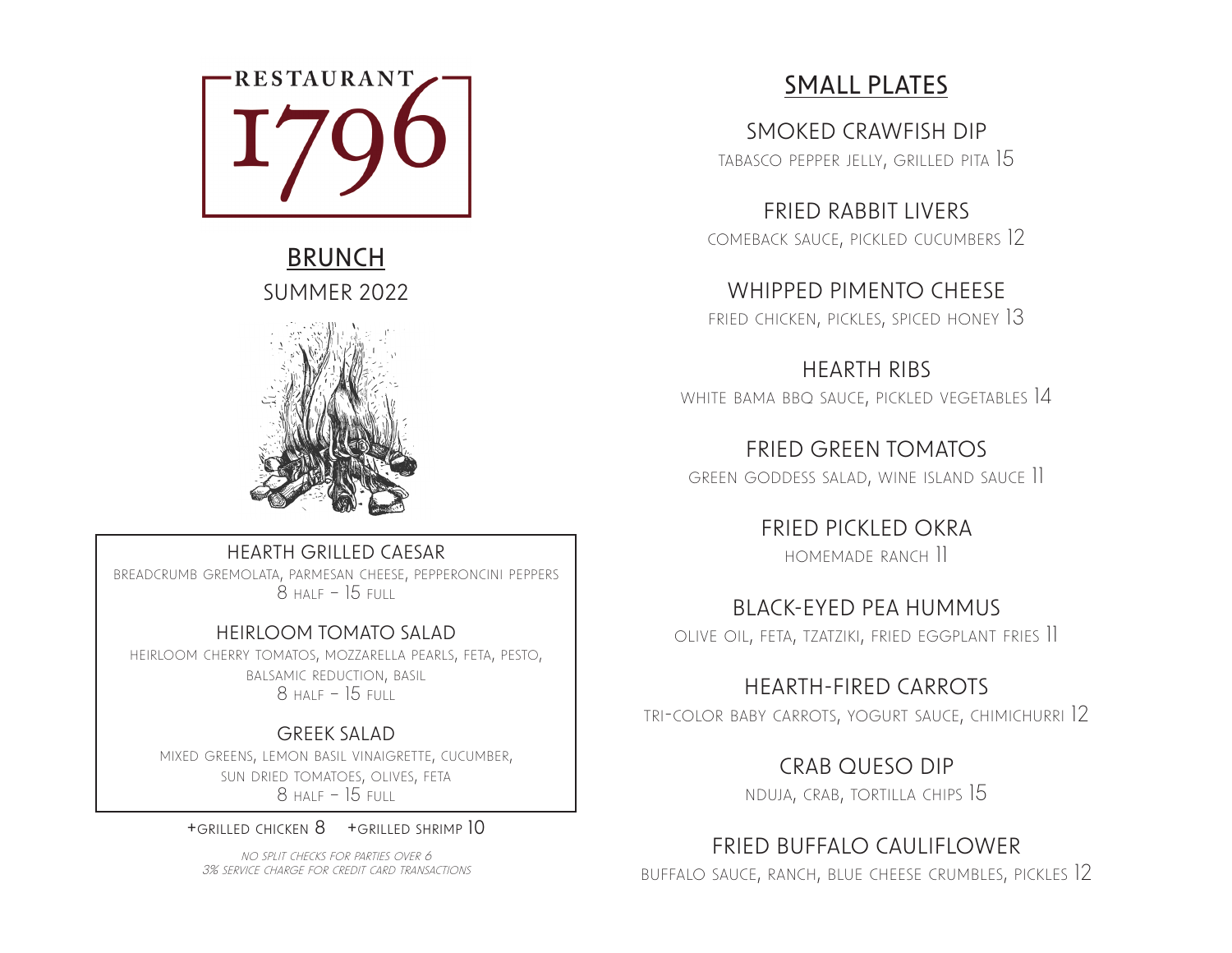

# BRUNCH SUMMER 2022



#### HEARTH GRILLED CAESAR

breadcrumb gremolata, parmesan cheese, pepperoncini peppers 8 half – 15 full

#### HEIRLOOM TOMATO SALAD

heirloom cherry tomatos, mozzarella pearls, feta, pesto, balsamic reduction, basil  $8$  Half – 15 Full

### GREEK SALAD

mixed greens, lemon basil vinaigrette, cucumber, sun dried tomatoes, olives, feta  $8$  Half – 15 Full

+grilled chicken 8 +grilled shrimp 10

no split checks for parties over 6 3% service charge for credit card transactions

# SMALL PLATES

SMOKED CRAWFISH DIP tabasco pepper jelly, grilled pita 15

FRIED RABBIT LIVERS comeback sauce, pickled cucumbers 12

WHIPPED PIMENTO CHEESE fried chicken, pickles, spiced honey 13

HEARTH RIBS white bama bbq sauce, pickled vegetables 14

FRIED GREEN TOMATOS green goddess salad, wine island sauce 11

> FRIED PICKLED OKRA homemade ranch 11

BLACK-EYED PEA HUMMUS olive oil, feta, tzatziki, fried eggplant fries 11

HEARTH-FIRED CARROTS

tri-color baby carrots, yogurt sauce, chimichurri 12

CRAB QUESO DIP nduja, crab, tortilla chips 15

## FRIED BUFFALO CAULIFLOWER

buffalo sauce, ranch, blue cheese crumbles, pickles 12